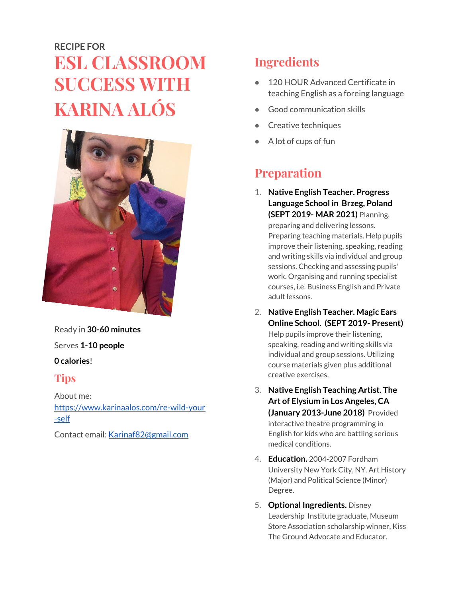## **RECIPE FOR ESL CLASSROOM SUCCESS WITH KARINA ALÓS**



Ready in **30-60 minutes** Serves **1-10 people 0 calories**!

#### **Tips**

About me: [https://www.karinaalos.com/re-wild-your](https://www.karinaalos.com/re-wild-your-self) [-self](https://www.karinaalos.com/re-wild-your-self)

Contact email: [Karinaf82@gmail.com](mailto:Karinaf82@gmail.com)

## **Ingredients**

- 120 HOUR Advanced Certificate in teaching English as a foreing language
- Good communication skills
- Creative techniques
- A lot of cups of fun

## **Preparation**

- 1. **Native English Teacher. Progress Language School in Brzeg, Poland (SEPT 2019- MAR 2021)** Planning, preparing and delivering lessons. Preparing teaching materials. Help pupils improve their listening, speaking, reading and writing skills via individual and group sessions. Checking and assessing pupils' work. Organising and running specialist courses, i.e. Business English and Private adult lessons.
- 2. **Native English Teacher. Magic Ears Online School. (SEPT 2019- Present)** Help pupils improve their listening, speaking, reading and writing skills via individual and group sessions. Utilizing course materials given plus additional creative exercises.
- 3. **Native English Teaching Artist. The Art of Elysium in Los Angeles, CA (January 2013-June 2018)** Provided interactive theatre programming in English for kids who are battling serious medical conditions.
- 4. **Education.** 2004-2007 Fordham University New York City, NY. Art History (Major) and Political Science (Minor) Degree.
- 5. **Optional Ingredients.** Disney Leadership Institute graduate, Museum Store Association scholarship winner, Kiss The Ground Advocate and Educator.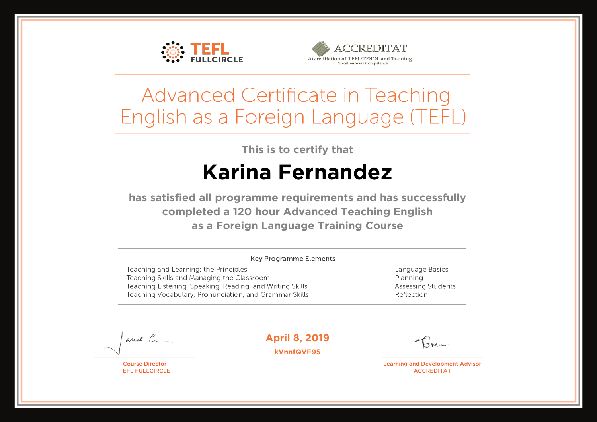

**Course Director** 

**TEFL FULLCIRCLE** 



**Learning and Development Advisor** 

**ACCREDITAT** 

# Advanced Certificate in Teaching English as a Foreign Language (TEFL)

**This is to certify that**

# **Karina Fernandez**

**has satisfied all programme requirements and has successfully completed a 120 hour Advanced Teaching English as a Foreign Language Training Course**

|                                                                                                                                                                                                            | Key Programme Elements |                                                                 |
|------------------------------------------------------------------------------------------------------------------------------------------------------------------------------------------------------------|------------------------|-----------------------------------------------------------------|
| Teaching and Learning: the Principles<br>Teaching Skills and Managing the Classroom<br>Teaching Listening, Speaking, Reading, and Writing Skills<br>Teaching Vocabulary, Pronunciation, and Grammar Skills |                        | Language Basics<br>Planning<br>Assessing Students<br>Reflection |
|                                                                                                                                                                                                            | <b>April 8, 2019</b>   |                                                                 |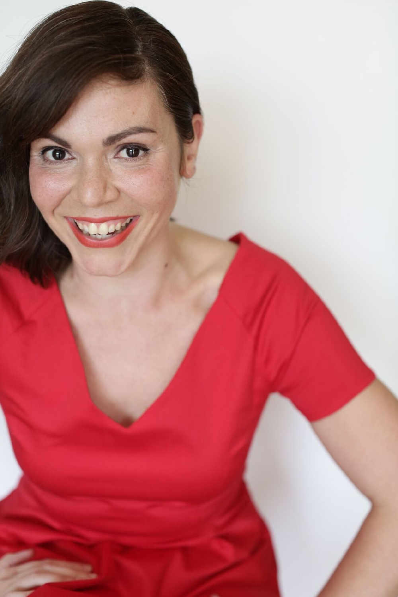